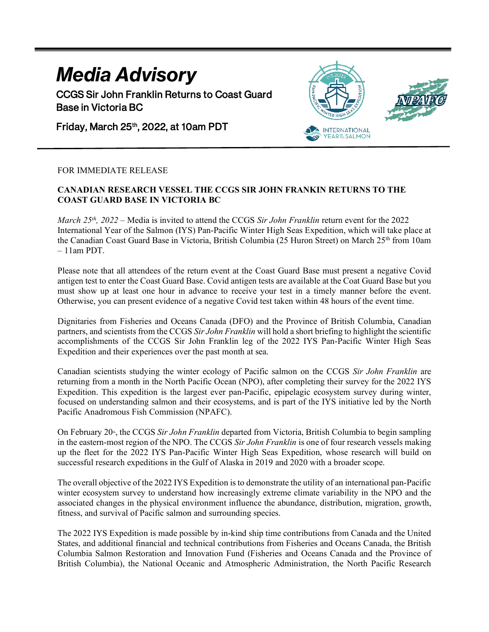



## **CANADIAN RESEARCH VESSEL THE CCGS SIR JOHN FRANKIN RETURNS TO THE COAST GUARD BASE IN VICTORIA BC**

*March 25th, 2022 –* Media is invited to attend the CCGS *Sir John Franklin* return event for the 2022 International Year of the Salmon (IYS) Pan-Pacific Winter High Seas Expedition, which will take place at the Canadian Coast Guard Base in Victoria, British Columbia (25 Huron Street) on March 25<sup>th</sup> from 10am – 11am PDT.

**YEAR RESALMON** 

Please note that all attendees of the return event at the Coast Guard Base must present a negative Covid antigen test to enter the Coast Guard Base. Covid antigen tests are available at the Coat Guard Base but you must show up at least one hour in advance to receive your test in a timely manner before the event. Otherwise, you can present evidence of a negative Covid test taken within 48 hours of the event time.

Dignitaries from Fisheries and Oceans Canada (DFO) and the Province of British Columbia, Canadian partners, and scientists from the CCGS *Sir John Franklin* will hold a short briefing to highlight the scientific accomplishments of the CCGS Sir John Franklin leg of the 2022 IYS Pan-Pacific Winter High Seas Expedition and their experiences over the past month at sea.

Canadian scientists studying the winter ecology of Pacific salmon on the CCGS *Sir John Franklin* are returning from a month in the North Pacific Ocean (NPO), after completing their survey for the 2022 IYS Expedition. This expedition is the largest ever pan-Pacific, epipelagic ecosystem survey during winter, focused on understanding salmon and their ecosystems, and is part of the IYS initiative led by the North Pacific Anadromous Fish Commission (NPAFC).

On February 20<sup>th</sup>, the CCGS *Sir John Franklin* departed from Victoria, British Columbia to begin sampling in the eastern-most region of the NPO. The CCGS *Sir John Franklin* is one of four research vessels making up the fleet for the 2022 IYS Pan-Pacific Winter High Seas Expedition, whose research will build on successful research expeditions in the Gulf of Alaska in 2019 and 2020 with a broader scope.

The overall objective of the 2022 IYS Expedition is to demonstrate the utility of an international pan-Pacific winter ecosystem survey to understand how increasingly extreme climate variability in the NPO and the associated changes in the physical environment influence the abundance, distribution, migration, growth, fitness, and survival of Pacific salmon and surrounding species.  

The 2022 IYS Expedition is made possible by in-kind ship time contributions from Canada and the United States, and additional financial and technical contributions from Fisheries and Oceans Canada, the British Columbia Salmon Restoration and Innovation Fund (Fisheries and Oceans Canada and the Province of British Columbia), the National Oceanic and Atmospheric Administration, the North Pacific Research